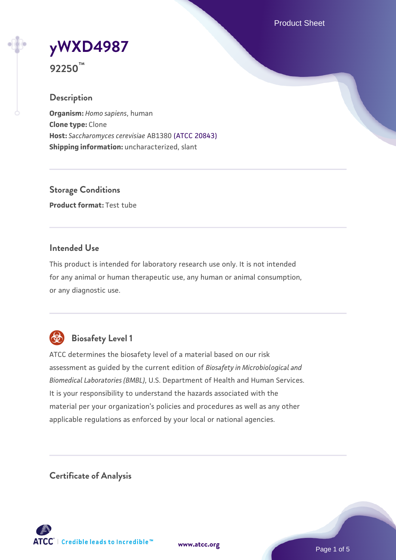Product Sheet

# **[yWXD4987](https://www.atcc.org/products/92250)**

**92250™**

# **Description**

**Organism:** *Homo sapiens*, human **Clone type:** Clone **Host:** *Saccharomyces cerevisiae* AB1380 [\(ATCC 20843\)](https://www.atcc.org/products/20843) **Shipping information:** uncharacterized, slant

**Storage Conditions Product format:** Test tube

## **Intended Use**

This product is intended for laboratory research use only. It is not intended for any animal or human therapeutic use, any human or animal consumption, or any diagnostic use.



# **Biosafety Level 1**

ATCC determines the biosafety level of a material based on our risk assessment as guided by the current edition of *Biosafety in Microbiological and Biomedical Laboratories (BMBL)*, U.S. Department of Health and Human Services. It is your responsibility to understand the hazards associated with the material per your organization's policies and procedures as well as any other applicable regulations as enforced by your local or national agencies.

**Certificate of Analysis**

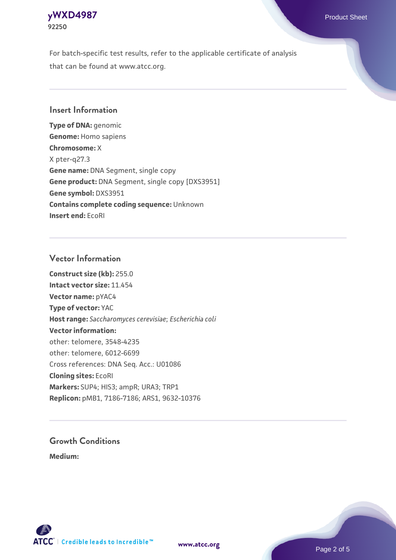

For batch-specific test results, refer to the applicable certificate of analysis that can be found at www.atcc.org.

## **Insert Information**

**Type of DNA:** genomic **Genome:** Homo sapiens **Chromosome:** X X pter-q27.3 **Gene name:** DNA Segment, single copy **Gene product:** DNA Segment, single copy [DXS3951] **Gene symbol:** DXS3951 **Contains complete coding sequence:** Unknown **Insert end:** EcoRI

#### **Vector Information**

**Construct size (kb):** 255.0 **Intact vector size:** 11.454 **Vector name:** pYAC4 **Type of vector:** YAC **Host range:** *Saccharomyces cerevisiae*; *Escherichia coli* **Vector information:** other: telomere, 3548-4235 other: telomere, 6012-6699 Cross references: DNA Seq. Acc.: U01086 **Cloning sites:** EcoRI **Markers:** SUP4; HIS3; ampR; URA3; TRP1 **Replicon:** pMB1, 7186-7186; ARS1, 9632-10376

# **Growth Conditions**

**Medium:** 



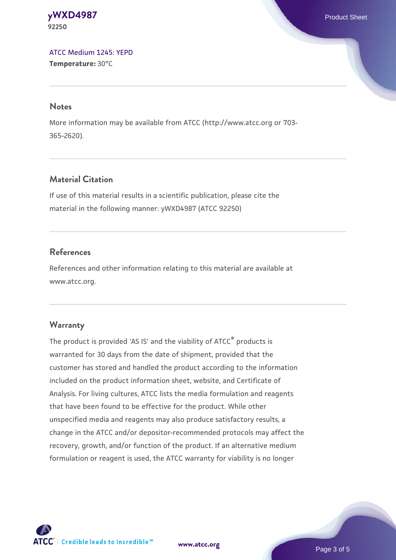#### **[yWXD4987](https://www.atcc.org/products/92250)** Product Sheet **92250**

[ATCC Medium 1245: YEPD](https://www.atcc.org/-/media/product-assets/documents/microbial-media-formulations/1/2/4/5/atcc-medium-1245.pdf?rev=705ca55d1b6f490a808a965d5c072196) **Temperature:** 30°C

#### **Notes**

More information may be available from ATCC (http://www.atcc.org or 703- 365-2620).

# **Material Citation**

If use of this material results in a scientific publication, please cite the material in the following manner: yWXD4987 (ATCC 92250)

# **References**

References and other information relating to this material are available at www.atcc.org.

# **Warranty**

The product is provided 'AS IS' and the viability of ATCC® products is warranted for 30 days from the date of shipment, provided that the customer has stored and handled the product according to the information included on the product information sheet, website, and Certificate of Analysis. For living cultures, ATCC lists the media formulation and reagents that have been found to be effective for the product. While other unspecified media and reagents may also produce satisfactory results, a change in the ATCC and/or depositor-recommended protocols may affect the recovery, growth, and/or function of the product. If an alternative medium formulation or reagent is used, the ATCC warranty for viability is no longer

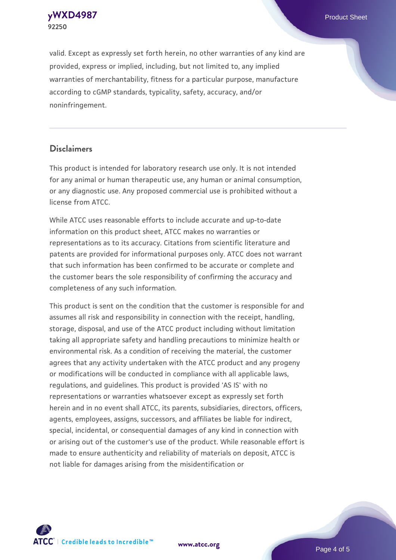**92250**

valid. Except as expressly set forth herein, no other warranties of any kind are provided, express or implied, including, but not limited to, any implied warranties of merchantability, fitness for a particular purpose, manufacture according to cGMP standards, typicality, safety, accuracy, and/or noninfringement.

#### **Disclaimers**

This product is intended for laboratory research use only. It is not intended for any animal or human therapeutic use, any human or animal consumption, or any diagnostic use. Any proposed commercial use is prohibited without a license from ATCC.

While ATCC uses reasonable efforts to include accurate and up-to-date information on this product sheet, ATCC makes no warranties or representations as to its accuracy. Citations from scientific literature and patents are provided for informational purposes only. ATCC does not warrant that such information has been confirmed to be accurate or complete and the customer bears the sole responsibility of confirming the accuracy and completeness of any such information.

This product is sent on the condition that the customer is responsible for and assumes all risk and responsibility in connection with the receipt, handling, storage, disposal, and use of the ATCC product including without limitation taking all appropriate safety and handling precautions to minimize health or environmental risk. As a condition of receiving the material, the customer agrees that any activity undertaken with the ATCC product and any progeny or modifications will be conducted in compliance with all applicable laws, regulations, and guidelines. This product is provided 'AS IS' with no representations or warranties whatsoever except as expressly set forth herein and in no event shall ATCC, its parents, subsidiaries, directors, officers, agents, employees, assigns, successors, and affiliates be liable for indirect, special, incidental, or consequential damages of any kind in connection with or arising out of the customer's use of the product. While reasonable effort is made to ensure authenticity and reliability of materials on deposit, ATCC is not liable for damages arising from the misidentification or



**[www.atcc.org](http://www.atcc.org)**

Page 4 of 5